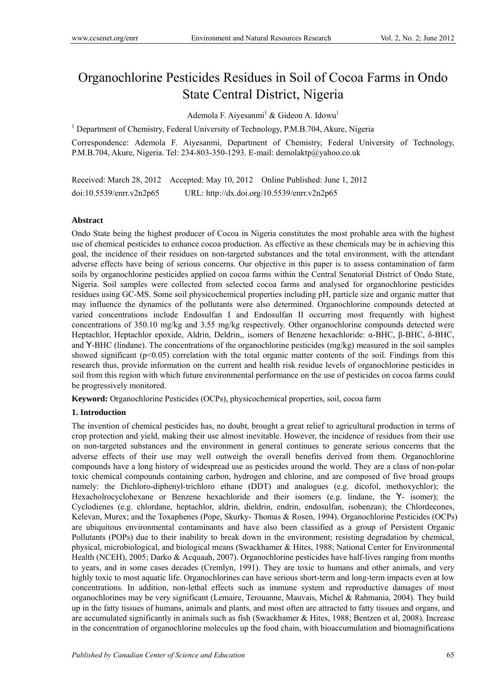# Organochlorine Pesticides Residues in Soil of Cocoa Farms in Ondo State Central District, Nigeria

Ademola F. Aiyesanmi<sup>1</sup> & Gideon A. Idowu<sup>1</sup>

<sup>1</sup> Department of Chemistry, Federal University of Technology, P.M.B.704, Akure, Nigeria

Correspondence: Ademola F. Aiyesanmi, Department of Chemistry, Federal University of Technology, P.M.B.704, Akure, Nigeria. Tel: 234-803-350-1293. E-mail: demolaktp@yahoo.co.uk

Received: March 28, 2012 Accepted: May 10, 2012 Online Published: June 1, 2012 doi:10.5539/enrr.v2n2p65 URL: http://dx.doi.org/10.5539/enrr.v2n2p65

### **Abstract**

Ondo State being the highest producer of Cocoa in Nigeria constitutes the most probable area with the highest use of chemical pesticides to enhance cocoa production. As effective as these chemicals may be in achieving this goal, the incidence of their residues on non-targeted substances and the total environment, with the attendant adverse effects have being of serious concerns. Our objective in this paper is to assess contamination of farm soils by organochlorine pesticides applied on cocoa farms within the Central Senatorial District of Ondo State, Nigeria. Soil samples were collected from selected cocoa farms and analysed for organochlorine pesticides residues using GC-MS. Some soil physicochemical properties including pH, particle size and organic matter that may influence the dynamics of the pollutants were also determined. Organochlorine compounds detected at varied concentrations include Endosulfan I and Endosulfan II occurring most frequently with highest concentrations of 350.10 mg/kg and 3.55 mg/kg respectively. Other organochlorine compounds detected were Heptachlor, Heptachlor epoxide, Aldrin, Deldrin,, isomers of Benzene hexachloride: α-BHC, β-BHC, δ-BHC, and Ƴ-BHC (lindane). The concentrations of the organochlorine pesticides (mg/kg) measured in the soil samples showed significant ( $p<0.05$ ) correlation with the total organic matter contents of the soil. Findings from this research thus, provide information on the current and health risk residue levels of organochlorine pesticides in soil from this region with which future environmental performance on the use of pesticides on cocoa farms could be progressively monitored.

**Keyword:** Organochlorine Pesticides (OCPs), physicochemical properties, soil, cocoa farm

#### **1. Introduction**

The invention of chemical pesticides has, no doubt, brought a great relief to agricultural production in terms of crop protection and yield, making their use almost inevitable. However, the incidence of residues from their use on non-targeted substances and the environment in general continues to generate serious concerns that the adverse effects of their use may well outweigh the overall benefits derived from them. Organochlorine compounds have a long history of widespread use as pesticides around the world. They are a class of non-polar toxic chemical compounds containing carbon, hydrogen and chlorine, and are composed of five broad groups namely: the Dichloro-diphenyl-trichloro ethane (DDT) and analogues (e.g. dicofol, methoxychlor); the Hexacholrocyclohexane or Benzene hexachloride and their isomers (e.g. lindane, the Ƴ- isomer); the Cyclodienes (e.g. chlordane, heptachlor, aldrin, dieldrin, endrin, endosulfan, isobenzan); the Chlordecones, Kelevan, Murex; and the Toxaphenes (Pope, Skurky- Thomas & Rosen, 1994). Organochlorine Pesticides (OCPs) are ubiquitous environmental contaminants and have also been classified as a group of Persistent Organic Pollutants (POPs) due to their inability to break down in the environment; resisting degradation by chemical, physical, microbiological, and biological means (Swackhamer & Hites, 1988; National Center for Environmental Health (NCEH), 2005; Darko & Acquaah, 2007). Organochlorine pesticides have half-lives ranging from months to years, and in some cases decades (Cremlyn, 1991). They are toxic to humans and other animals, and very highly toxic to most aquatic life. Organochlorines can have serious short-term and long-term impacts even at low concentrations. In addition, non-lethal effects such as immune system and reproductive damages of most organochlorines may be very significant (Lemaire, Terouanne, Mauvais, Michel & Rahmania, 2004). They build up in the fatty tissues of humans, animals and plants, and most often are attracted to fatty tissues and organs, and are accumulated significantly in animals such as fish (Swackhamer & Hites, 1988; Bentzen et al, 2008). Increase in the concentration of organochlorine molecules up the food chain, with bioaccumulation and biomagnifications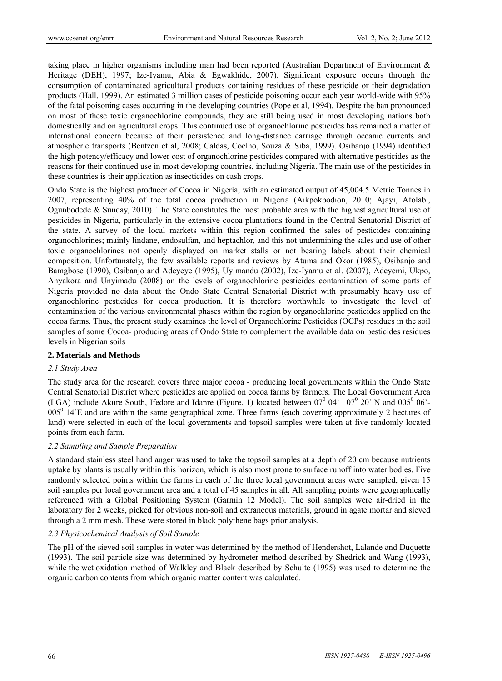taking place in higher organisms including man had been reported (Australian Department of Environment & Heritage (DEH), 1997; Ize-Iyamu, Abia & Egwakhide, 2007). Significant exposure occurs through the consumption of contaminated agricultural products containing residues of these pesticide or their degradation products (Hall, 1999). An estimated 3 million cases of pesticide poisoning occur each year world-wide with 95% of the fatal poisoning cases occurring in the developing countries (Pope et al, 1994). Despite the ban pronounced on most of these toxic organochlorine compounds, they are still being used in most developing nations both domestically and on agricultural crops. This continued use of organochlorine pesticides has remained a matter of international concern because of their persistence and long-distance carriage through oceanic currents and atmospheric transports (Bentzen et al, 2008; Caldas, Coelho, Souza & Siba, 1999). Osibanjo (1994) identified the high potency/efficacy and lower cost of organochlorine pesticides compared with alternative pesticides as the reasons for their continued use in most developing countries, including Nigeria. The main use of the pesticides in these countries is their application as insecticides on cash crops.

Ondo State is the highest producer of Cocoa in Nigeria, with an estimated output of 45,004.5 Metric Tonnes in 2007, representing 40% of the total cocoa production in Nigeria (Aikpokpodion, 2010; Ajayi, Afolabi, Ogunbodede  $\&$  Sunday, 2010). The State constitutes the most probable area with the highest agricultural use of pesticides in Nigeria, particularly in the extensive cocoa plantations found in the Central Senatorial District of the state. A survey of the local markets within this region confirmed the sales of pesticides containing organochlorines; mainly lindane, endosulfan, and heptachlor, and this not undermining the sales and use of other toxic organochlorines not openly displayed on market stalls or not bearing labels about their chemical composition. Unfortunately, the few available reports and reviews by Atuma and Okor (1985), Osibanjo and Bamgbose (1990), Osibanjo and Adeyeye (1995), Uyimandu (2002), Ize-Iyamu et al. (2007), Adeyemi, Ukpo, Anyakora and Unyimadu (2008) on the levels of organochlorine pesticides contamination of some parts of Nigeria provided no data about the Ondo State Central Senatorial District with presumably heavy use of organochlorine pesticides for cocoa production. It is therefore worthwhile to investigate the level of contamination of the various environmental phases within the region by organochlorine pesticides applied on the cocoa farms. Thus, the present study examines the level of Organochlorine Pesticides (OCPs) residues in the soil samples of some Cocoa- producing areas of Ondo State to complement the available data on pesticides residues levels in Nigerian soils

#### **2. Materials and Methods**

## *2.1 Study Area*

The study area for the research covers three major cocoa - producing local governments within the Ondo State Central Senatorial District where pesticides are applied on cocoa farms by farmers. The Local Government Area (LGA) include Akure South, Ifedore and Idanre (Figure. 1) located between  $07^0$  04' –  $07^0$  20' N and  $005^0$  06'-005<sup>0</sup> 14'E and are within the same geographical zone. Three farms (each covering approximately 2 hectares of land) were selected in each of the local governments and topsoil samples were taken at five randomly located points from each farm.

## *2.2 Sampling and Sample Preparation*

A standard stainless steel hand auger was used to take the topsoil samples at a depth of 20 cm because nutrients uptake by plants is usually within this horizon, which is also most prone to surface runoff into water bodies. Five randomly selected points within the farms in each of the three local government areas were sampled, given 15 soil samples per local government area and a total of 45 samples in all. All sampling points were geographically referenced with a Global Positioning System (Garmin 12 Model). The soil samples were air-dried in the laboratory for 2 weeks, picked for obvious non-soil and extraneous materials, ground in agate mortar and sieved through a 2 mm mesh. These were stored in black polythene bags prior analysis.

## *2.3 Physicochemical Analysis of Soil Sample*

The pH of the sieved soil samples in water was determined by the method of Hendershot, Lalande and Duquette (1993). The soil particle size was determined by hydrometer method described by Shedrick and Wang (1993), while the wet oxidation method of Walkley and Black described by Schulte (1995) was used to determine the organic carbon contents from which organic matter content was calculated.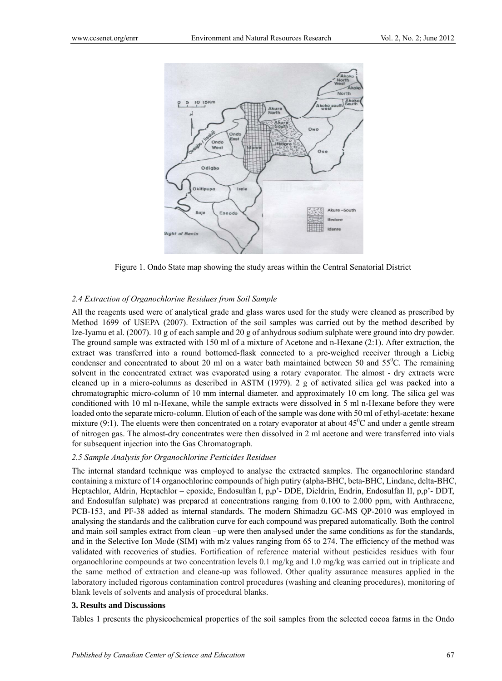

Figure 1. Ondo State map showing the study areas within the Central Senatorial District

## *2.4 Extraction of Organochlorine Residues from Soil Sample*

All the reagents used were of analytical grade and glass wares used for the study were cleaned as prescribed by Method 1699 of USEPA (2007). Extraction of the soil samples was carried out by the method described by Ize-Iyamu et al. (2007). 10 g of each sample and 20 g of anhydrous sodium sulphate were ground into dry powder. The ground sample was extracted with 150 ml of a mixture of Acetone and n-Hexane (2:1). After extraction, the extract was transferred into a round bottomed-flask connected to a pre-weighed receiver through a Liebig condenser and concentrated to about 20 ml on a water bath maintained between 50 and  $55^{\circ}$ C. The remaining solvent in the concentrated extract was evaporated using a rotary evaporator. The almost - dry extracts were cleaned up in a micro-columns as described in ASTM (1979). 2 g of activated silica gel was packed into a chromatographic micro-column of 10 mm internal diameter. and approximately 10 cm long. The silica gel was conditioned with 10 ml n-Hexane, while the sample extracts were dissolved in 5 ml n-Hexane before they were loaded onto the separate micro-column. Elution of each of the sample was done with 50 ml of ethyl-acetate: hexane mixture (9:1). The eluents were then concentrated on a rotary evaporator at about  $45^{\circ}$ C and under a gentle stream of nitrogen gas. The almost-dry concentrates were then dissolved in 2 ml acetone and were transferred into vials for subsequent injection into the Gas Chromatograph.

## *2.5 Sample Analysis for Organochlorine Pesticides Residues*

The internal standard technique was employed to analyse the extracted samples. The organochlorine standard containing a mixture of 14 organochlorine compounds of high putiry (alpha-BHC, beta-BHC, Lindane, delta-BHC, Heptachlor, Aldrin, Heptachlor – epoxide, Endosulfan I, p,p'- DDE, Dieldrin, Endrin, Endosulfan II, p,p'- DDT, and Endosulfan sulphate) was prepared at concentrations ranging from 0.100 to 2.000 ppm, with Anthracene, PCB-153, and PF-38 added as internal standards. The modern Shimadzu GC-MS QP-2010 was employed in analysing the standards and the calibration curve for each compound was prepared automatically. Both the control and main soil samples extract from clean –up were then analysed under the same conditions as for the standards, and in the Selective Ion Mode (SIM) with m/z values ranging from 65 to 274. The efficiency of the method was validated with recoveries of studies. Fortification of reference material without pesticides residues with four organochlorine compounds at two concentration levels 0.1 mg/kg and 1.0 mg/kg was carried out in triplicate and the same method of extraction and cleane-up was followed. Other quality assurance measures applied in the laboratory included rigorous contamination control procedures (washing and cleaning procedures), monitoring of blank levels of solvents and analysis of procedural blanks.

#### **3. Results and Discussions**

Tables 1 presents the physicochemical properties of the soil samples from the selected cocoa farms in the Ondo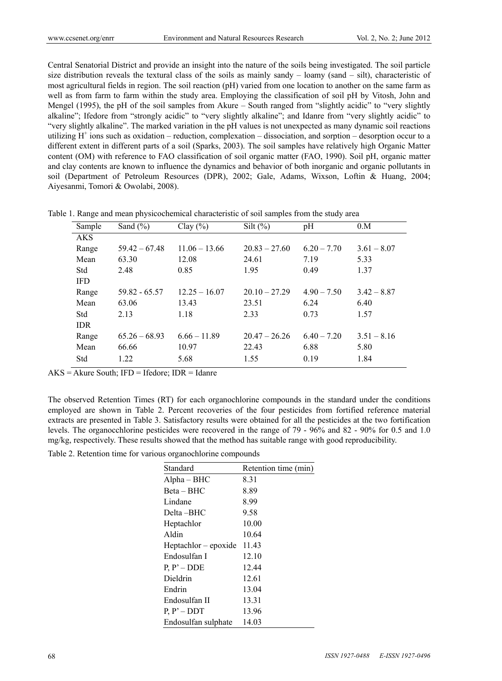Central Senatorial District and provide an insight into the nature of the soils being investigated. The soil particle size distribution reveals the textural class of the soils as mainly sandy – loamy (sand – silt), characteristic of most agricultural fields in region. The soil reaction (pH) varied from one location to another on the same farm as well as from farm to farm within the study area. Employing the classification of soil pH by Vitosh, John and Mengel (1995), the pH of the soil samples from Akure – South ranged from "slightly acidic" to "very slightly alkaline"; Ifedore from "strongly acidic" to "very slightly alkaline"; and Idanre from "very slightly acidic" to "very slightly alkaline". The marked variation in the pH values is not unexpected as many dynamic soil reactions utilizing  $H^+$  ions such as oxidation – reduction, complexation – dissociation, and sorption – desorption occur to a different extent in different parts of a soil (Sparks, 2003). The soil samples have relatively high Organic Matter content (OM) with reference to FAO classification of soil organic matter (FAO, 1990). Soil pH, organic matter and clay contents are known to influence the dynamics and behavior of both inorganic and organic pollutants in soil (Department of Petroleum Resources (DPR), 2002; Gale, Adams, Wixson, Loftin & Huang, 2004; Aiyesanmi, Tomori & Owolabi, 2008).

| Sample     | Sand $(\% )$    | Clay $(\% )$    | Silt $(\%)$     | pH            | 0.M           |
|------------|-----------------|-----------------|-----------------|---------------|---------------|
| <b>AKS</b> |                 |                 |                 |               |               |
| Range      | $59.42 - 67.48$ | $11.06 - 13.66$ | $20.83 - 27.60$ | $6.20 - 7.70$ | $3.61 - 8.07$ |
| Mean       | 63.30           | 12.08           | 24.61           | 7.19          | 5.33          |
| Std        | 2.48            | 0.85            | 1.95            | 0.49          | 1.37          |
| <b>IFD</b> |                 |                 |                 |               |               |
| Range      | $59.82 - 65.57$ | $12.25 - 16.07$ | $20.10 - 27.29$ | $4.90 - 7.50$ | $3.42 - 8.87$ |
| Mean       | 63.06           | 13.43           | 23.51           | 6.24          | 6.40          |
| Std        | 2.13            | 1.18            | 2.33            | 0.73          | 1.57          |
| <b>IDR</b> |                 |                 |                 |               |               |
| Range      | $65.26 - 68.93$ | $6.66 - 11.89$  | $20.47 - 26.26$ | $6.40 - 7.20$ | $3.51 - 8.16$ |
| Mean       | 66.66           | 10.97           | 22.43           | 6.88          | 5.80          |
| Std        | 1.22            | 5.68            | 1.55            | 0.19          | 1.84          |
|            |                 |                 |                 |               |               |

Table 1. Range and mean physicochemical characteristic of soil samples from the study area

 $AKS = Akure South$ ; IFD = Ifedore; IDR = Idanre

The observed Retention Times (RT) for each organochlorine compounds in the standard under the conditions employed are shown in Table 2. Percent recoveries of the four pesticides from fortified reference material extracts are presented in Table 3. Satisfactory results were obtained for all the pesticides at the two fortification levels. The organocchlorine pesticides were recovered in the range of 79 - 96% and 82 - 90% for 0.5 and 1.0 mg/kg, respectively. These results showed that the method has suitable range with good reproducibility.

Table 2. Retention time for various organochlorine compounds

| Standard               | Retention time (min) |
|------------------------|----------------------|
| $Alpha-BHC$            | 8.31                 |
| Beta – BHC             | 8.89                 |
| Lindane                | 8.99                 |
| Delta –BHC             | 9.58                 |
| Heptachlor             | 10.00                |
| Aldin                  | 10.64                |
| $Heptachlor - epoxide$ | 11.43                |
| Endosulfan I           | 12.10                |
| $P, P' - DDE$          | 12.44                |
| Dieldrin               | 12.61                |
| Endrin                 | 13.04                |
| Endosulfan II          | 13.31                |
| $P, P' - DDT$          | 13.96                |
| Endosulfan sulphate    | 14.03                |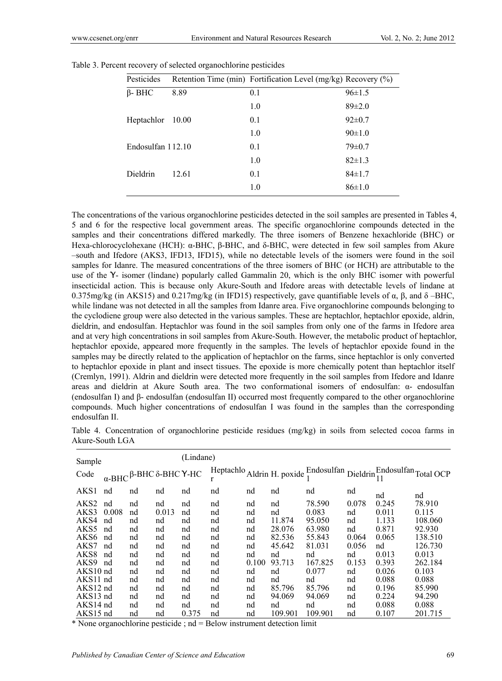| Pesticides        |       | Retention Time (min) Fortification Level (mg/kg) Recovery (%) |              |
|-------------------|-------|---------------------------------------------------------------|--------------|
| $\beta$ - BHC     | 8.89  | 0.1                                                           | $96 \pm 1.5$ |
|                   |       | 1.0                                                           | $89 \pm 2.0$ |
| Heptachlor        | 10.00 | 0.1                                                           | $92 \pm 0.7$ |
|                   |       | 1.0                                                           | $90 \pm 1.0$ |
| Endosulfan 112.10 |       | 0.1                                                           | $79 \pm 0.7$ |
|                   |       | 1.0                                                           | $82 \pm 1.3$ |
| <b>Dieldrin</b>   | 12.61 | 0.1                                                           | $84 \pm 1.7$ |
|                   |       | 1.0                                                           | $86 \pm 1.0$ |

Table 3. Percent recovery of selected organochlorine pesticides

The concentrations of the various organochlorine pesticides detected in the soil samples are presented in Tables 4, 5 and 6 for the respective local government areas. The specific organochlorine compounds detected in the samples and their concentrations differed markedly. The three isomers of Benzene hexachloride (BHC) or Hexa-chlorocyclohexane (HCH): α-BHC, β-BHC, and δ-BHC, were detected in few soil samples from Akure –south and Ifedore (AKS3, IFD13, IFD15), while no detectable levels of the isomers were found in the soil samples for Idanre. The measured concentrations of the three isomers of BHC (or HCH) are attributable to the use of the Ƴ- isomer (lindane) popularly called Gammalin 20, which is the only BHC isomer with powerful insecticidal action. This is because only Akure-South and Ifedore areas with detectable levels of lindane at 0.375mg/kg (in AKS15) and 0.217mg/kg (in IFD15) respectively, gave quantifiable levels of α, β, and δ –BHC, while lindane was not detected in all the samples from Idanre area. Five organochlorine compounds belonging to the cyclodiene group were also detected in the various samples. These are heptachlor, heptachlor epoxide, aldrin, dieldrin, and endosulfan. Heptachlor was found in the soil samples from only one of the farms in Ifedore area and at very high concentrations in soil samples from Akure-South. However, the metabolic product of heptachlor, heptachlor epoxide, appeared more frequently in the samples. The levels of heptachlor epoxide found in the samples may be directly related to the application of heptachlor on the farms, since heptachlor is only converted to heptachlor epoxide in plant and insect tissues. The epoxide is more chemically potent than heptachlor itself (Cremlyn, 1991). Aldrin and dieldrin were detected more frequently in the soil samples from Ifedore and Idanre areas and dieldrin at Akure South area. The two conformational isomers of endosulfan: α- endosulfan (endosulfan I) and β- endosulfan (endosulfan II) occurred most frequently compared to the other organochlorine compounds. Much higher concentrations of endosulfan I was found in the samples than the corresponding endosulfan II.

Table 4. Concentration of organochlorine pesticide residues (mg/kg) in soils from selected cocoa farms in Akure-South LGA

| Sample           |       |                               |       | (Lindane) |    |       |         |                                                                                              |       |       |         |
|------------------|-------|-------------------------------|-------|-----------|----|-------|---------|----------------------------------------------------------------------------------------------|-------|-------|---------|
| Code             |       | α-ΒΗΣ $\beta$ -ΒΗΣ δ-ΒΗΣ Υ-ΗΣ |       |           |    |       |         | Heptachlo Aldrin H. poxide $\frac{Endosulfan}{1}$ Dieldrin $\frac{Endosulfan}{11}$ Total OCP |       |       |         |
| AKS1             | nd    | nd                            | nd    | nd        | nd | nd    | nd      | nd                                                                                           | nd    | nd    | nd      |
| AKS <sub>2</sub> | nd    | nd                            | nd    | nd        | nd | nd    | nd      | 78.590                                                                                       | 0.078 | 0.245 | 78.910  |
| AKS3             | 0.008 | nd                            | 0.013 | nd        | nd | nd    | nd      | 0.083                                                                                        | nd    | 0.011 | 0.115   |
| AKS4             | nd    | nd                            | nd    | nd        | nd | nd    | 11.874  | 95.050                                                                                       | nd    | 1.133 | 108.060 |
| AKS <sub>5</sub> | nd    | nd                            | nd    | nd        | nd | nd    | 28.076  | 63.980                                                                                       | nd    | 0.871 | 92.930  |
| AKS <sub>6</sub> | nd    | nd                            | nd    | nd        | nd | nd    | 82.536  | 55.843                                                                                       | 0.064 | 0.065 | 138.510 |
| AKS7             | nd    | nd                            | nd    | nd        | nd | nd    | 45.642  | 81.031                                                                                       | 0.056 | nd    | 126.730 |
| AKS8             | nd    | nd                            | nd    | nd        | nd | nd    | nd      | nd                                                                                           | nd    | 0.013 | 0.013   |
| AKS9             | nd    | nd                            | nd    | nd        | nd | 0.100 | 93.713  | 167.825                                                                                      | 0.153 | 0.393 | 262.184 |
| AKS10 nd         |       | nd                            | nd    | nd        | nd | nd    | nd      | 0.077                                                                                        | nd    | 0.026 | 0.103   |
| AKS11 nd         |       | nd                            | nd    | nd        | nd | nd    | nd      | nd                                                                                           | nd    | 0.088 | 0.088   |
| AKS12 nd         |       | nd                            | nd    | nd        | nd | nd    | 85.796  | 85.796                                                                                       | nd    | 0.196 | 85.990  |
| AKS13 nd         |       | nd                            | nd    | nd        | nd | nd    | 94.069  | 94.069                                                                                       | nd    | 0.224 | 94.290  |
| $AKS14$ nd       |       | nd                            | nd    | nd        | nd | nd    | nd      | nd                                                                                           | nd    | 0.088 | 0.088   |
| AKS15 nd         |       | nd                            | nd    | 0.375     | nd | nd    | 109.901 | 109.901                                                                                      | nd    | 0.107 | 201.715 |

\* None organochlorine pesticide ; nd = Below instrument detection limit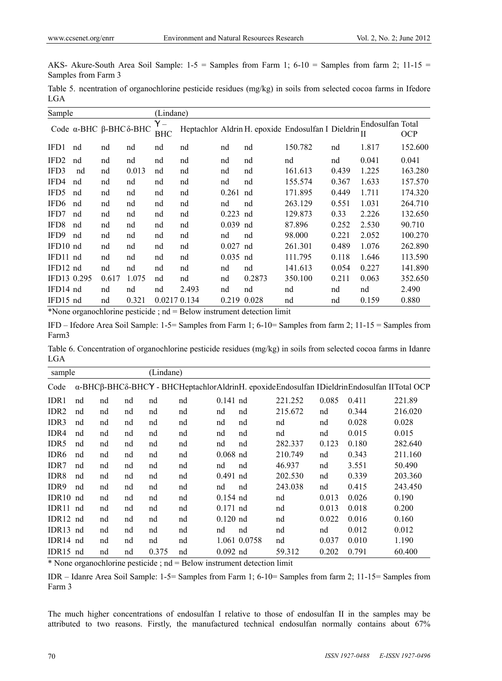AKS- Akure-South Area Soil Sample:  $1-5$  = Samples from Farm 1;  $6-10$  = Samples from farm 2;  $11-15$  = Samples from Farm 3

Table 5. ncentration of organochlorine pesticide residues (mg/kg) in soils from selected cocoa farms in Ifedore LGA

| Sample           |                       |       |       | (Lindane)         |                |       |             |                                                                   |       |                  |            |
|------------------|-----------------------|-------|-------|-------------------|----------------|-------|-------------|-------------------------------------------------------------------|-------|------------------|------------|
|                  | Code α-BHC β-BHCδ-BHC |       |       | Υ –<br><b>BHC</b> |                |       |             | Heptachlor Aldrin H. epoxide Endosulfan I Dieldrin $\frac{L}{II}$ |       | Endosulfan Total | <b>OCP</b> |
| IFD1             | nd                    | nd    | nd    | nd                | nd             | nd    | nd          | 150.782                                                           | nd    | 1.817            | 152.600    |
| IFD <sub>2</sub> | nd                    | nd    | nd    | nd                | nd             | nd    | nd          | nd                                                                | nd    | 0.041            | 0.041      |
| IFD3             | nd                    | nd    | 0.013 | nd                | nd             | nd    | nd          | 161.613                                                           | 0.439 | 1.225            | 163.280    |
| IFD4             | nd                    | nd    | nd    | nd                | nd             | nd    | nd          | 155.574                                                           | 0.367 | 1.633            | 157.570    |
| IFD5             | nd                    | nd    | nd    | nd                | nd             | 0.261 | nd          | 171.895                                                           | 0.449 | 1.711            | 174.320    |
| IFD <sub>6</sub> | nd                    | nd    | nd    | nd                | nd             | nd    | nd          | 263.129                                                           | 0.551 | 1.031            | 264.710    |
| IFD7             | nd                    | nd    | nd    | nd                | nd             | 0.223 | nd          | 129.873                                                           | 0.33  | 2.226            | 132.650    |
| IFD <sub>8</sub> | nd                    | nd    | nd    | nd                | nd             | 0.039 | nd          | 87.896                                                            | 0.252 | 2.530            | 90.710     |
| IFD9             | nd                    | nd    | nd    | nd                | nd             | nd    | nd          | 98.000                                                            | 0.221 | 2.052            | 100.270    |
| IFD10 nd         |                       | nd    | nd    | nd                | nd             | 0.027 | nd          | 261.301                                                           | 0.489 | 1.076            | 262.890    |
| IFD11 nd         |                       | nd    | nd    | nd                | nd             | 0.035 | nd          | 111.795                                                           | 0.118 | 1.646            | 113.590    |
| IFD12 nd         |                       | nd    | nd    | nd                | nd             | nd    | nd          | 141.613                                                           | 0.054 | 0.227            | 141.890    |
| IFD13 0.295      |                       | 0.617 | 1.075 | nd                | nd             | nd    | 0.2873      | 350.100                                                           | 0.211 | 0.063            | 352.650    |
| IFD14 nd         |                       | nd    | nd    | nd                | 2.493          | nd    | nd          | nd                                                                | nd    | nd               | 2.490      |
| IFD15 nd         |                       | nd    | 0.321 | 0.0217 0.134      |                |       | 0.219 0.028 | nd                                                                | nd    | 0.159            | 0.880      |
| <b>JAN T</b>     |                       | 11    |       |                   | $\mathbf{D}$ 1 |       |             |                                                                   |       |                  |            |

\*None organochlorine pesticide ; nd = Below instrument detection limit

IFD – Ifedore Area Soil Sample: 1-5= Samples from Farm 1; 6-10= Samples from farm 2; 11-15 = Samples from Farm3

Table 6. Concentration of organochlorine pesticide residues (mg/kg) in soils from selected cocoa farms in Idanre LGA

| sample            |    |    |    | (Lindane) |    |            |              |         |       |       |                                                                                            |
|-------------------|----|----|----|-----------|----|------------|--------------|---------|-------|-------|--------------------------------------------------------------------------------------------|
| Code              |    |    |    |           |    |            |              |         |       |       | α-BHCβ-BHCδ-BHCY - BHCHeptachlorAldrinH. epoxideEndosulfan IDieldrinEndosulfan IITotal OCP |
| IDR1              | nd | nd | nd | nd        | nd | $0.141$ nd |              | 221.252 | 0.085 | 0.411 | 221.89                                                                                     |
| IDR <sub>2</sub>  | nd | nd | nd | nd        | nd | nd         | nd           | 215.672 | nd    | 0.344 | 216.020                                                                                    |
| IDR <sub>3</sub>  | nd | nd | nd | nd        | nd | nd         | nd           | nd      | nd    | 0.028 | 0.028                                                                                      |
| IDR4              | nd | nd | nd | nd        | nd | nd         | nd           | nd      | nd    | 0.015 | 0.015                                                                                      |
| IDR5              | nd | nd | nd | nd        | nd | nd         | nd           | 282.337 | 0.123 | 0.180 | 282.640                                                                                    |
| IDR <sub>6</sub>  | nd | nd | nd | nd        | nd | $0.068$ nd |              | 210.749 | nd    | 0.343 | 211.160                                                                                    |
| IDR7              | nd | nd | nd | nd        | nd | nd         | nd           | 46.937  | nd    | 3.551 | 50.490                                                                                     |
| IDR8              | nd | nd | nd | nd        | nd | $0.491$ nd |              | 202.530 | nd    | 0.339 | 203.360                                                                                    |
| IDR9              | nd | nd | nd | nd        | nd | nd         | nd           | 243.038 | nd    | 0.415 | 243.450                                                                                    |
| IDR <sub>10</sub> | nd | nd | nd | nd        | nd | $0.154$ nd |              | nd      | 0.013 | 0.026 | 0.190                                                                                      |
| IDR11             | nd | nd | nd | nd        | nd | $0.171$ nd |              | nd      | 0.013 | 0.018 | 0.200                                                                                      |
| IDR12 nd          |    | nd | nd | nd        | nd | $0.120$ nd |              | nd      | 0.022 | 0.016 | 0.160                                                                                      |
| IDR13 nd          |    | nd | nd | nd        | nd | nd         | nd           | nd      | nd    | 0.012 | 0.012                                                                                      |
| IDR14 nd          |    | nd | nd | nd        | nd |            | 1.061 0.0758 | nd      | 0.037 | 0.010 | 1.190                                                                                      |
| IDR15 nd          |    | nd | nd | 0.375     | nd | $0.092$ nd |              | 59.312  | 0.202 | 0.791 | 60.400                                                                                     |

\* None organochlorine pesticide ; nd = Below instrument detection limit

IDR – Idanre Area Soil Sample: 1-5= Samples from Farm 1; 6-10= Samples from farm 2; 11-15= Samples from Farm 3

The much higher concentrations of endosulfan I relative to those of endosulfan II in the samples may be attributed to two reasons. Firstly, the manufactured technical endosulfan normally contains about 67%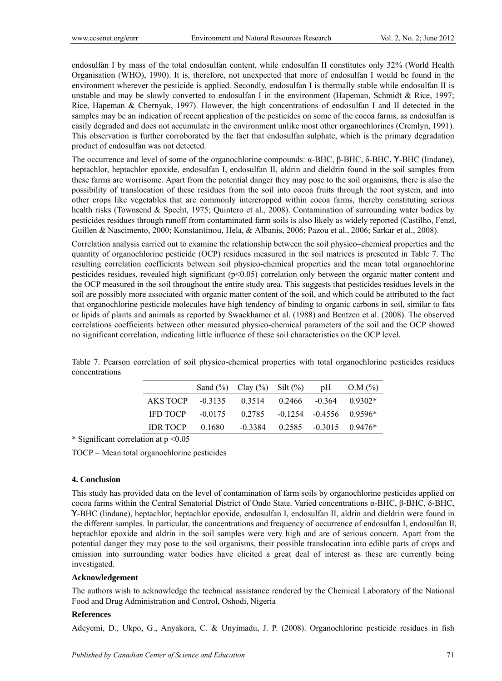endosulfan I by mass of the total endosulfan content, while endosulfan II constitutes only 32% (World Health Organisation (WHO), 1990). It is, therefore, not unexpected that more of endosulfan I would be found in the environment wherever the pesticide is applied. Secondly, endosulfan I is thermally stable while endosulfan II is unstable and may be slowly converted to endosulfan I in the environment (Hapeman, Schmidt & Rice, 1997; Rice, Hapeman & Chernyak, 1997). However, the high concentrations of endosulfan I and II detected in the samples may be an indication of recent application of the pesticides on some of the cocoa farms, as endosulfan is easily degraded and does not accumulate in the environment unlike most other organochlorines (Cremlyn, 1991). This observation is further corroborated by the fact that endosulfan sulphate, which is the primary degradation product of endosulfan was not detected.

The occurrence and level of some of the organochlorine compounds: α-BHC, β-BHC, δ-BHC, Ƴ-BHC (lindane), heptachlor, heptachlor epoxide, endosulfan I, endosulfan II, aldrin and dieldrin found in the soil samples from these farms are worrisome. Apart from the potential danger they may pose to the soil organisms, there is also the possibility of translocation of these residues from the soil into cocoa fruits through the root system, and into other crops like vegetables that are commonly intercropped within cocoa farms, thereby constituting serious health risks (Townsend & Specht, 1975; Quintero et al., 2008). Contamination of surrounding water bodies by pesticides residues through runoff from contaminated farm soils is also likely as widely reported (Castilho, Fenzl, Guillen & Nascimento, 2000; Konstantinou, Hela, & Albanis, 2006; Pazou et al., 2006; Sarkar et al., 2008).

Correlation analysis carried out to examine the relationship between the soil physico–chemical properties and the quantity of organochlorine pesticide (OCP) residues measured in the soil matrices is presented in Table 7. The resulting correlation coefficients between soil physico-chemical properties and the mean total organochlorine pesticides residues, revealed high significant ( $p<0.05$ ) correlation only between the organic matter content and the OCP measured in the soil throughout the entire study area. This suggests that pesticides residues levels in the soil are possibly more associated with organic matter content of the soil, and which could be attributed to the fact that organochlorine pesticide molecules have high tendency of binding to organic carbons in soil, similar to fats or lipids of plants and animals as reported by Swackhamer et al. (1988) and Bentzen et al. (2008). The observed correlations coefficients between other measured physico-chemical parameters of the soil and the OCP showed no significant correlation, indicating little influence of these soil characteristics on the OCP level.

|                 |           | Sand $(\%)$ Clay $(\%)$ Silt $(\%)$ |                               | pH                          | O.M (%)          |
|-----------------|-----------|-------------------------------------|-------------------------------|-----------------------------|------------------|
| AKS TOCP        | $-0.3135$ | 0.3514                              | 0.2466                        |                             | $-0.364$ 0.9302* |
| <b>IFD TOCP</b> | $-0.0175$ | 0.2785                              | $-0.1254$ $-0.4556$ $0.9596*$ |                             |                  |
| <b>IDR TOCP</b> | 0.1680    | $-0.3384$                           |                               | $0.2585 - 0.3015 - 0.9476*$ |                  |

Table 7. Pearson correlation of soil physico-chemical properties with total organochlorine pesticides residues concentrations

\* Significant correlation at p <0.05

TOCP = Mean total organochlorine pesticides

## **4. Conclusion**

This study has provided data on the level of contamination of farm soils by organochlorine pesticides applied on cocoa farms within the Central Senatorial District of Ondo State. Varied concentrations α-BHC, β-BHC, δ-BHC, Ƴ-BHC (lindane), heptachlor, heptachlor epoxide, endosulfan I, endosulfan II, aldrin and dieldrin were found in the different samples. In particular, the concentrations and frequency of occurrence of endosulfan I, endosulfan II, heptachlor epoxide and aldrin in the soil samples were very high and are of serious concern. Apart from the potential danger they may pose to the soil organisms, their possible translocation into edible parts of crops and emission into surrounding water bodies have elicited a great deal of interest as these are currently being investigated.

#### **Acknowledgement**

The authors wish to acknowledge the technical assistance rendered by the Chemical Laboratory of the National Food and Drug Administration and Control, Oshodi, Nigeria

#### **References**

Adeyemi, D., Ukpo, G., Anyakora, C. & Unyimadu, J. P. (2008). Organochlorine pesticide residues in fish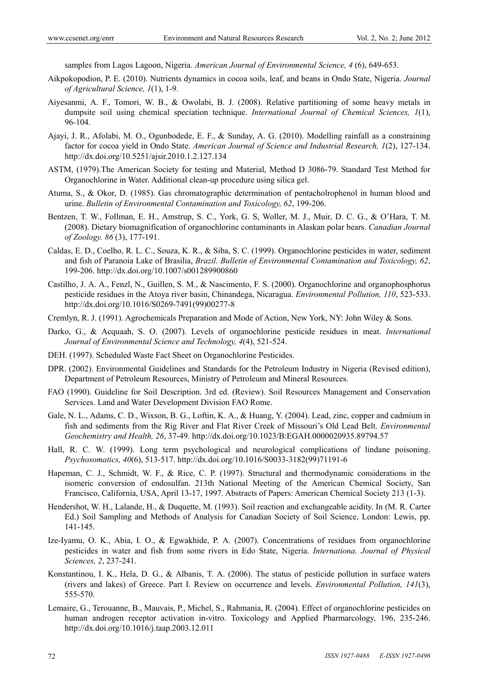samples from Lagos Lagoon, Nigeria. *American Journal of Environmental Science, 4* (6), 649-653.

- Aikpokopodion, P. E. (2010). Nutrients dynamics in cocoa soils, leaf, and beans in Ondo State, Nigeria. *Journal of Agricultural Science, 1*(1), 1-9.
- Aiyesanmi, A. F., Tomori, W. B., & Owolabi, B. J. (2008). Relative partitioning of some heavy metals in dumpsite soil using chemical speciation technique. *International Journal of Chemical Sciences, 1*(1), 96-104.
- Ajayi, J. R., Afolabi, M. O., Ogunbodede, E. F., & Sunday, A. G. (2010). Modelling rainfall as a constraining factor for cocoa yield in Ondo State. *American Journal of Science and Industrial Research, 1*(2), 127-134. http://dx.doi.org/10.5251/ajsir.2010.1.2.127.134
- ASTM, (1979).The American Society for testing and Material, Method D 3086-79. Standard Test Method for Organochlorine in Water. Additional clean-up procedure using silica gel.
- Atuma, S., & Okor, D. (1985). Gas chromatographic determination of pentacholrophenol in human blood and urine. *Bulletin of Environmental Contamination and Toxicology, 62*, 199-206.
- Bentzen, T. W., Follman, E. H., Amstrup, S. C., York, G. S, Woller, M. J., Muir, D. C. G., & O'Hara, T. M. (2008). Dietary biomagnification of organochlorine contaminants in Alaskan polar bears. *Canadian Journal of Zoology. 86* (3), 177-191.
- Caldas, E. D., Coelho, R. L. C., Souza, K. R., & Siba, S. C. (1999). Organochlorine pesticides in water, sediment and fish of Paranoia Lake of Brasilia, *Brazil. Bulletin of Environmental Contamination and Toxicology, 62*, 199-206. http://dx.doi.org/10.1007/s001289900860
- Castilho, J. A. A., Fenzl, N., Guillen, S. M., & Nascimento, F. S. (2000). Organochlorine and organophosphorus pesticide residues in the Atoya river basin, Chinandega, Nicaragua. *Environmental Pollution, 110*, 523-533. http://dx.doi.org/10.1016/S0269-7491(99)00277-8
- Cremlyn, R. J. (1991). Agrochemicals Preparation and Mode of Action, New York, NY: John Wiley & Sons.
- Darko, G., & Acquaah, S. O. (2007). Levels of organochlorine pesticide residues in meat. *International Journal of Environmental Science and Technology, 4*(4), 521-524.
- DEH. (1997). Scheduled Waste Fact Sheet on Organochlorine Pesticides.
- DPR. (2002). Environmental Guidelines and Standards for the Petroleum Industry in Nigeria (Revised edition), Department of Petroleum Resources, Ministry of Petroleum and Mineral Resources.
- FAO (1990). Guideline for Soil Description. 3rd ed. (Review). Soil Resources Management and Conservation Services. Land and Water Development Division FAO Rome.
- Gale, N. L., Adams, C. D., Wixson, B. G., Loftin, K. A., & Huang, Y. (2004). Lead, zinc, copper and cadmium in fish and sediments from the Rig River and Flat River Creek of Missouri's Old Lead Belt. *Environmental Geochemistry and Health, 26*, 37-49. http://dx.doi.org/10.1023/B:EGAH.0000020935.89794.57
- Hall, R. C. W. (1999). Long term psychological and neurological complications of lindane poisoning. *Psychosomatics, 40*(6), 513-517. http://dx.doi.org/10.1016/S0033-3182(99)71191-6
- Hapeman, C. J., Schmidt, W. F., & Rice, C. P. (1997). Structural and thermodynamic considerations in the isomeric conversion of endosulfan. 213th National Meeting of the American Chemical Society, San Francisco, California, USA, April 13-17, 1997. Abstracts of Papers: American Chemical Society 213 (1-3).
- Hendershot, W. H., Lalande, H., & Duquette, M. (1993). Soil reaction and exchangeable acidity. In (M. R. Carter Ed.) Soil Sampling and Methods of Analysis for Canadian Society of Soil Science, London: Lewis, pp. 141-145.
- Ize-Iyamu, O. K., Abia, I. O., & Egwakhide, P. A. (2007). Concentrations of residues from organochlorine pesticides in water and fish from some rivers in Edo State, Nigeria. *Internationa. Journal of Physical Sciences, 2*, 237-241.
- Konstantinou, I. K., Hela, D. G., & Albanis, T. A. (2006). The status of pesticide pollution in surface waters (rivers and lakes) of Greece. Part I. Review on occurrence and levels. *Environmental Pollution, 141*(3), 555-570.
- Lemaire, G., Terouanne, B., Mauvais, P., Michel, S., Rahmania, R. (2004). Effect of organochlorine pesticides on human androgen receptor activation in-vitro. Toxicology and Applied Pharmarcology, 196, 235-246. http://dx.doi.org/10.1016/j.taap.2003.12.011